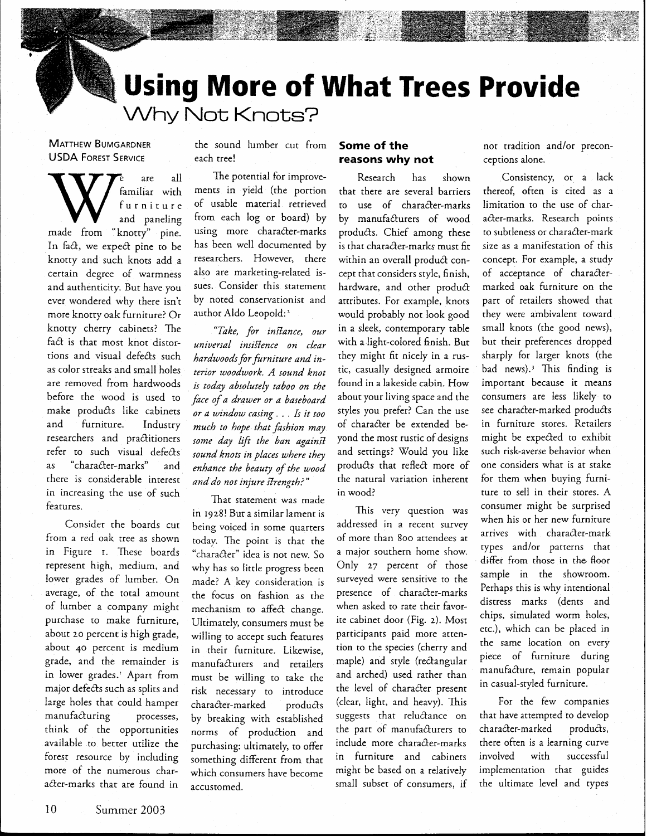**Using More of What Trees Provide**  Why Not Knots?

**MATTHEW BUMGARDNER**  USDA **FOREST SERVICE** 

are all familiar with When  $\sum_{\substack{\text{full}\\ \text{and}\text{panding}}}^{\text{e} \text{ are all}}$ In fact, we expect pine to be knotty and such knots add a certain degree of warmness and authenticity. But have you ever wondered why there isn't more knotty oak furniture! Or knotty cherry cabinets? The fa& is that most knot distortions and visual defects such as color streaks and small holes are removed from hardwoods before the wood is used to make produQs like cabinets and furniture. Industry researchers and practitioners refer to such visual defects as "character-marks" and there is considerable interest in increasing the use of such features.

Consider the boards cut from a red oak tree as shown in Figure r. These boards represent high, medium, and lower grades of lumber. On average, of the total amount of lumber a company might purchase to make furniture, about **20** percent is high grade, about 40 percent is medium grade, and the remainder is in lower grades.' Apart from major defeds such as splits and large holes that could hamper character-marked products (clear, light, and heavy). This For the few companies manufacturing processes, by breaking with established suggests that reluctance on that have attempted to develop think of the opportunities norms of production and the part of manufacturers to character-marked products, available to better utilize the purchasing: ultimately, to offer include more character-marks there often is a learning curve forest resource by including something different from that in furniture and cabinets involved with successful<br>more of the numerous char- which consumers have become might be based on a relatively implementation that guides more of the numerous char- which consumers have become might be based on a relatively implementation that guides<br>acter-marks that are found in accustomed small subset of consumers, if the ultimate level and types acter-marks that are found in accustomed. Some small subset of consumers, if

the sound lumber cut from each tree!

The potential for improvements in yield (the portion of usable material retrieved from each log or board) by using more character-marks has been well documented by researchers. However, there also are marketing-related issues. Consider this statement by noted conservationist and author Aido Leopold: '

*"Take, for infiance, our universal insifience on clear hardwoodsfor furniture and interior woodwork. A sound knot is today absolutely taboo on the face of a drawer or a baseboard or a window cusing* . . . *Is it too*  much to hope that fashion may some day lift the ban against *sound knots in places where they enhance the beauty of the wood and do not injure strength?"* 

That statement was made in 1928! Bur a similar lament is being voiced in some quarters today. The point is that the "character" idea is not new. So why has so little progress been made? **A** key consideration is the focus on fashion as the mechanism to affect change. Ultimately, consumers must be willing to accept such features in their furniture. Likewise, manufacturers and retailers must be willing to take the risk necessary to introduce processes, by breaking with established

## **Some of the reasons why not**

Research has shown that there are several barriers to use of character-marks by manufacturers of wood products. Chief among these is that character-marks must fit within an overall product concept that considers style, finish, hardware, and other product attributes. For example, knots would probably not look good in a sleek, contemporary table with a-light-colored finish. But they might fit nicely in a rustic, casually designed armoire found in a lakeside cabin. How about your living space and the styles you prefer? Can the use of character be extended beyond the most rustic of designs and settings? Would you like products that reflect more of the natural variation inherent in wood?

This very question was addressed in a recent survey of more than 800 attendees at a major southern home show. Only 27 percent of those surveyed were sensirive ro the presence of character-marks when asked to rate their favorite cabinet door (Fig. *2).* Most participants paid more attention to the species (cherry and maple) and style (rectangular and arched) used rather than the level of character present

not tradition and/or preconceptions alone.

Consistency, or a lack thereof, often is cited as a limitation to the use of character-marks. Research points to subtleness or character-mark size as a manifestation of this concept. For example, a study of acceptance of charactermarked oak furniture on the part of retailers showed that they were ambivalent toward small knots (the good news), but their preferences dropped sharply for larger knots (the bad news).<sup>3</sup> This finding is important because it means consumers are less likely to see character-marked products in furniture stores. Retailers might be expected to exhibit such risk-averse behavior when one considers what is at stake for them when buying furniture to sell in their stores. A consumer might be surprised when his or her new furniture arrives with character-mark types and/or patterns that differ from rhose **in** the floor sample in the showroom. Perhaps this is why intentional distress marks (dents and chips, simulated worm holes, etc.), which can be placed in the same location on every piece of furniture during manufacture, remain popular in casual-styled furniture.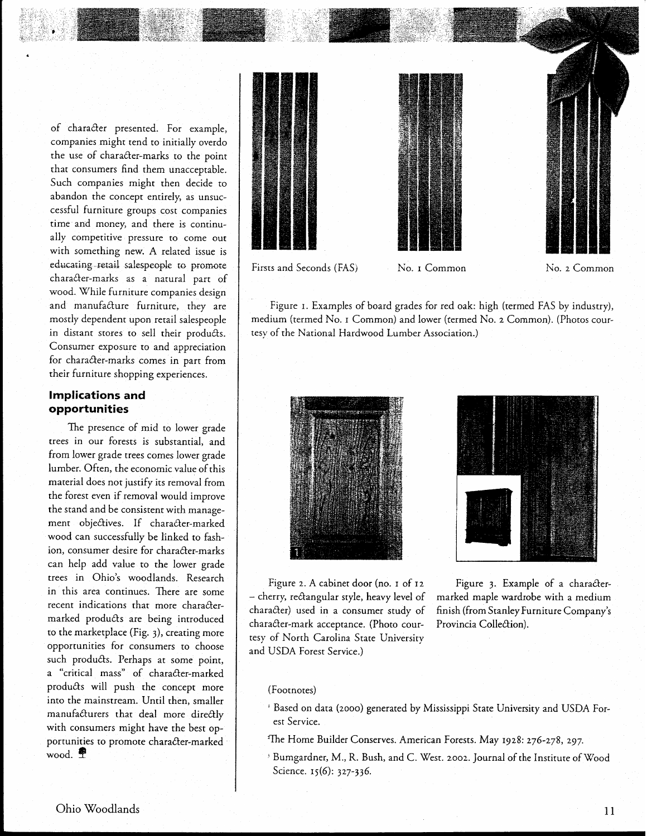of character presented. For example, companies might tend to initially overdo the use of character-marks to the point that consumers find them unacceptable. Such companies might then decide to abandon the concept entirely, as unsuccessful furniture groups cost companies time and money, and there is continually competitive pressure to come out with something new. A related issue is educating retail salespeople to promote character-marks as a natural part of wood. While furniture companies design and manufacture furniture, they are mostly dependent upon retail salespeople in distant stores to sell their products. Consumer exposure to and appreciation for character-marks comes in part from their furniture shopping experiences.

## **Implications and opportunities**

The presence of mid to lower grade trees in our forests is subsranrial, and from lower grade trees comes lower grade lumber. Often, the economic value of this material does not justify its removal from the forest even if removal would improve the stand and be consistent with management objectives. If character-marked wood can successfully be linked to fashion, consumer desire for character-marks can heip add value to the lower grade trees in Ohio's woodlands. Research in this area continues. There are some recent indications that more charactermarked products are being introduced to the marketplace (Fig. 3), creating more opportunities for consumers to choose such products. Perhaps at some point, a "critical mass" of character-marked products will push the concept more into the mainstream. Until then, smaller manufacturers that deal more directly with consumers might have the best opportunities to promote character-marked wood.  $\blacksquare$ 



Figure 1. Examples of board grades for red oak: high (termed FAS by industry), medium (termed No. I Common) and lower (termed KO. *2* Common). (Photos courtesy of the National Hardwood Lumber Association.)





- cherry, rectangular style, heavy level of marked maple wardrobe with a medium<br>character) used in a consumer study of finish (from Stanley Furniture Company's character-mark acceptance. (Photo cour- Provincia Collection). tesy of North Carolina State University and USDA Forest Service.)

Figure 2. A cabinet door (no. 1 of 12 Figure 3. Example of a characterfinish (from Stanley Furniture Company's

#### (Footnotes)

- ' Based on data (2000) generated by Mississippi State University and USDA Forest Service.
- <sup>2</sup>The Home Builder Conserves. American Forests. May 1928: 276-278, 297.
- <sup>3</sup> Bumgardner, M., R. Bush, and C. West. 2002. Journal of the Institute of Wood Science. 15(6): 327-336.